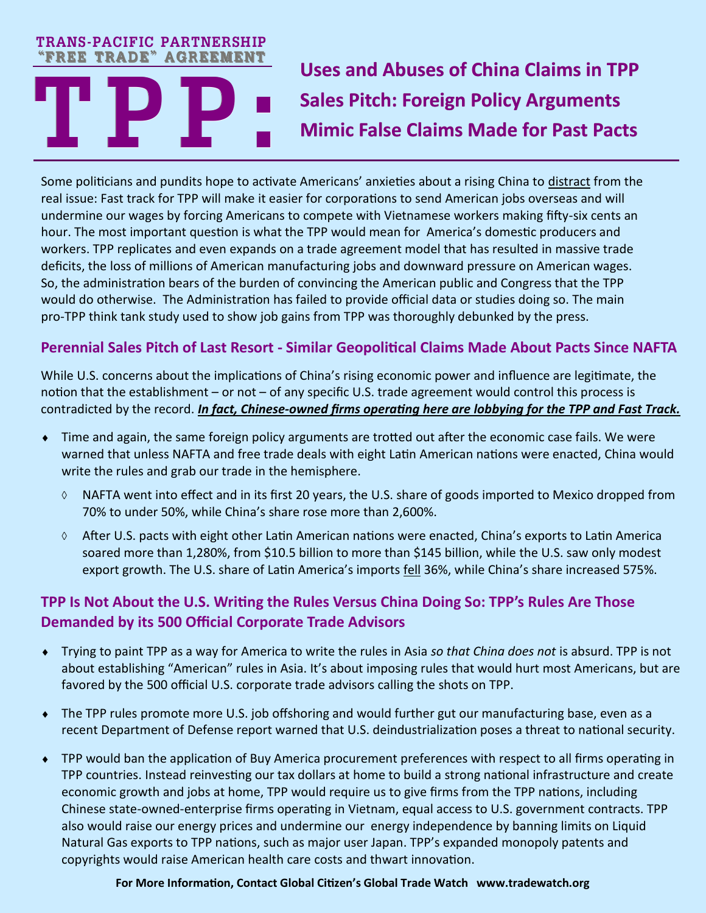#### **TRANS-PACIFIC PARTNERSHIP "FREE TRADE" AGREEMENT**

# **Uses and Abuses of China Claims in TPP Sales Pitch: Foreign Policy Arguments Mimic False Claims Made for Past Pacts**

**TREE TRADE" AGREEMENT**<br>
Some politicians and pundits hope to active real issue: Fast track for TPP will make it e Some politicians and pundits hope to activate Americans' anxieties about a rising China to distract from the real issue: Fast track for TPP will make it easier for corporations to send American jobs overseas and will undermine our wages by forcing Americans to compete with Vietnamese workers making fifty-six cents an hour. The most important question is what the TPP would mean for America's domestic producers and workers. TPP replicates and even expands on a trade agreement model that has resulted in massive trade deficits, the loss of millions of American manufacturing jobs and downward pressure on American wages. So, the administration bears of the burden of convincing the American public and Congress that the TPP would do otherwise. The Administration has failed to provide official data or studies doing so. The main pro-TPP think tank study used to show job gains from TPP was thoroughly debunked by the press.

## **Perennial Sales Pitch of Last Resort - Similar Geopolitical Claims Made About Pacts Since NAFTA**

While U.S. concerns about the implications of China's rising economic power and influence are legitimate, the notion that the establishment – or not – of any specific U.S. trade agreement would control this process is contradicted by the record. *In fact, Chinese-owned firms operating here are lobbying for the TPP and Fast Track.*

- Time and again, the same foreign policy arguments are trotted out after the economic case fails. We were warned that unless NAFTA and free trade deals with eight Latin American nations were enacted, China would write the rules and grab our trade in the hemisphere.
	- $\Diamond$  NAFTA went into effect and in its first 20 years, the U.S. share of goods imported to Mexico dropped from 70% to under 50%, while China's share rose more than 2,600%.
	- $\lozenge$  After U.S. pacts with eight other Latin American nations were enacted, China's exports to Latin America soared more than 1,280%, from \$10.5 billion to more than \$145 billion, while the U.S. saw only modest export growth. The U.S. share of Latin America's imports fell 36%, while China's share increased 575%.

## **TPP Is Not About the U.S. Writing the Rules Versus China Doing So: TPP's Rules Are Those Demanded by its 500 Official Corporate Trade Advisors**

- Trying to paint TPP as a way for America to write the rules in Asia *so that China does not* is absurd. TPP is not about establishing "American" rules in Asia. It's about imposing rules that would hurt most Americans, but are favored by the 500 official U.S. corporate trade advisors calling the shots on TPP.
- The TPP rules promote more U.S. job offshoring and would further gut our manufacturing base, even as a recent Department of Defense report warned that U.S. deindustrialization poses a threat to national security.
- TPP would ban the application of Buy America procurement preferences with respect to all firms operating in TPP countries. Instead reinvesting our tax dollars at home to build a strong national infrastructure and create economic growth and jobs at home, TPP would require us to give firms from the TPP nations, including Chinese state-owned-enterprise firms operating in Vietnam, equal access to U.S. government contracts. TPP also would raise our energy prices and undermine our energy independence by banning limits on Liquid Natural Gas exports to TPP nations, such as major user Japan. TPP's expanded monopoly patents and copyrights would raise American health care costs and thwart innovation.